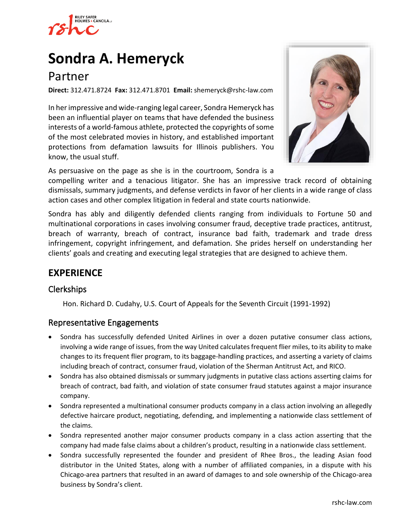

# **[Sondra A. Hemeryck](https://www.rshc-law.com/attorneys/attorney/sondra-a.-hemeryck)**

## Partner

**Direct:** 312.471.8724 **Fax:** 312.471.8701 **Email:** shemeryck@rshc-law.com

In her impressive and wide-ranging legal career, Sondra Hemeryck has been an influential player on teams that have defended the business interests of a world-famous athlete, protected the copyrights of some of the most celebrated movies in history, and established important protections from defamation lawsuits for Illinois publishers. You know, the usual stuff.



As persuasive on the page as she is in the courtroom, Sondra is a

compelling writer and a tenacious litigator. She has an impressive track record of obtaining dismissals, summary judgments, and defense verdicts in favor of her clients in a wide range of class action cases and other complex litigation in federal and state courts nationwide.

Sondra has ably and diligently defended clients ranging from individuals to Fortune 50 and multinational corporations in cases involving consumer fraud, deceptive trade practices, antitrust, breach of warranty, breach of contract, insurance bad faith, trademark and trade dress infringement, copyright infringement, and defamation. She prides herself on understanding her clients' goals and creating and executing legal strategies that are designed to achieve them.

### **EXPERIENCE**

### Clerkships

Hon. Richard D. Cudahy, U.S. Court of Appeals for the Seventh Circuit (1991-1992)

#### Representative Engagements

- Sondra has successfully defended United Airlines in over a dozen putative consumer class actions, involving a wide range of issues, from the way United calculates frequent flier miles, to its ability to make changes to its frequent flier program, to its baggage-handling practices, and asserting a variety of claims including breach of contract, consumer fraud, violation of the Sherman Antitrust Act, and RICO.
- Sondra has also obtained dismissals or summary judgments in putative class actions asserting claims for breach of contract, bad faith, and violation of state consumer fraud statutes against a major insurance company.
- Sondra represented a multinational consumer products company in a class action involving an allegedly defective haircare product, negotiating, defending, and implementing a nationwide class settlement of the claims.
- Sondra represented another major consumer products company in a class action asserting that the company had made false claims about a children's product, resulting in a nationwide class settlement.
- Sondra successfully represented the founder and president of Rhee Bros., the leading Asian food distributor in the United States, along with a number of affiliated companies, in a dispute with his Chicago-area partners that resulted in an award of damages to and sole ownership of the Chicago-area business by Sondra's client.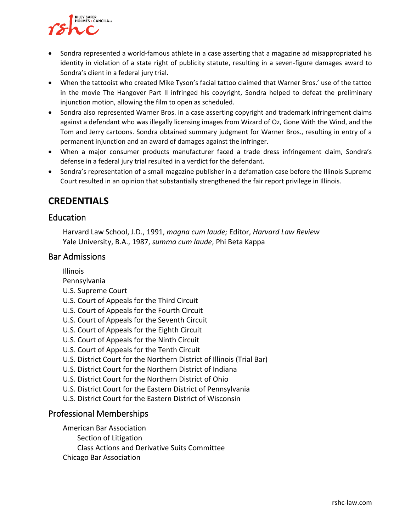

- Sondra represented a world-famous athlete in a case asserting that a magazine ad misappropriated his identity in violation of a state right of publicity statute, resulting in a seven-figure damages award to Sondra's client in a federal jury trial.
- When the tattooist who created Mike Tyson's facial tattoo claimed that Warner Bros.' use of the tattoo in the movie The Hangover Part II infringed his copyright, Sondra helped to defeat the preliminary injunction motion, allowing the film to open as scheduled.
- Sondra also represented Warner Bros. in a case asserting copyright and trademark infringement claims against a defendant who was illegally licensing images from Wizard of Oz, Gone With the Wind, and the Tom and Jerry cartoons. Sondra obtained summary judgment for Warner Bros., resulting in entry of a permanent injunction and an award of damages against the infringer.
- When a major consumer products manufacturer faced a trade dress infringement claim, Sondra's defense in a federal jury trial resulted in a verdict for the defendant.
- Sondra's representation of a small magazine publisher in a defamation case before the Illinois Supreme Court resulted in an opinion that substantially strengthened the fair report privilege in Illinois.

### **CREDENTIALS**

### Education

Harvard Law School, J.D., 1991, *magna cum laude;* Editor, *Harvard Law Review* Yale University, B.A., 1987, *summa cum laude*, Phi Beta Kappa

### Bar Admissions

Illinois

- Pennsylvania
- U.S. Supreme Court
- U.S. Court of Appeals for the Third Circuit
- U.S. Court of Appeals for the Fourth Circuit
- U.S. Court of Appeals for the Seventh Circuit
- U.S. Court of Appeals for the Eighth Circuit
- U.S. Court of Appeals for the Ninth Circuit
- U.S. Court of Appeals for the Tenth Circuit
- U.S. District Court for the Northern District of Illinois (Trial Bar)
- U.S. District Court for the Northern District of Indiana
- U.S. District Court for the Northern District of Ohio
- U.S. District Court for the Eastern District of Pennsylvania
- U.S. District Court for the Eastern District of Wisconsin

### Professional Memberships

American Bar Association

- Section of Litigation
- Class Actions and Derivative Suits Committee
- Chicago Bar Association